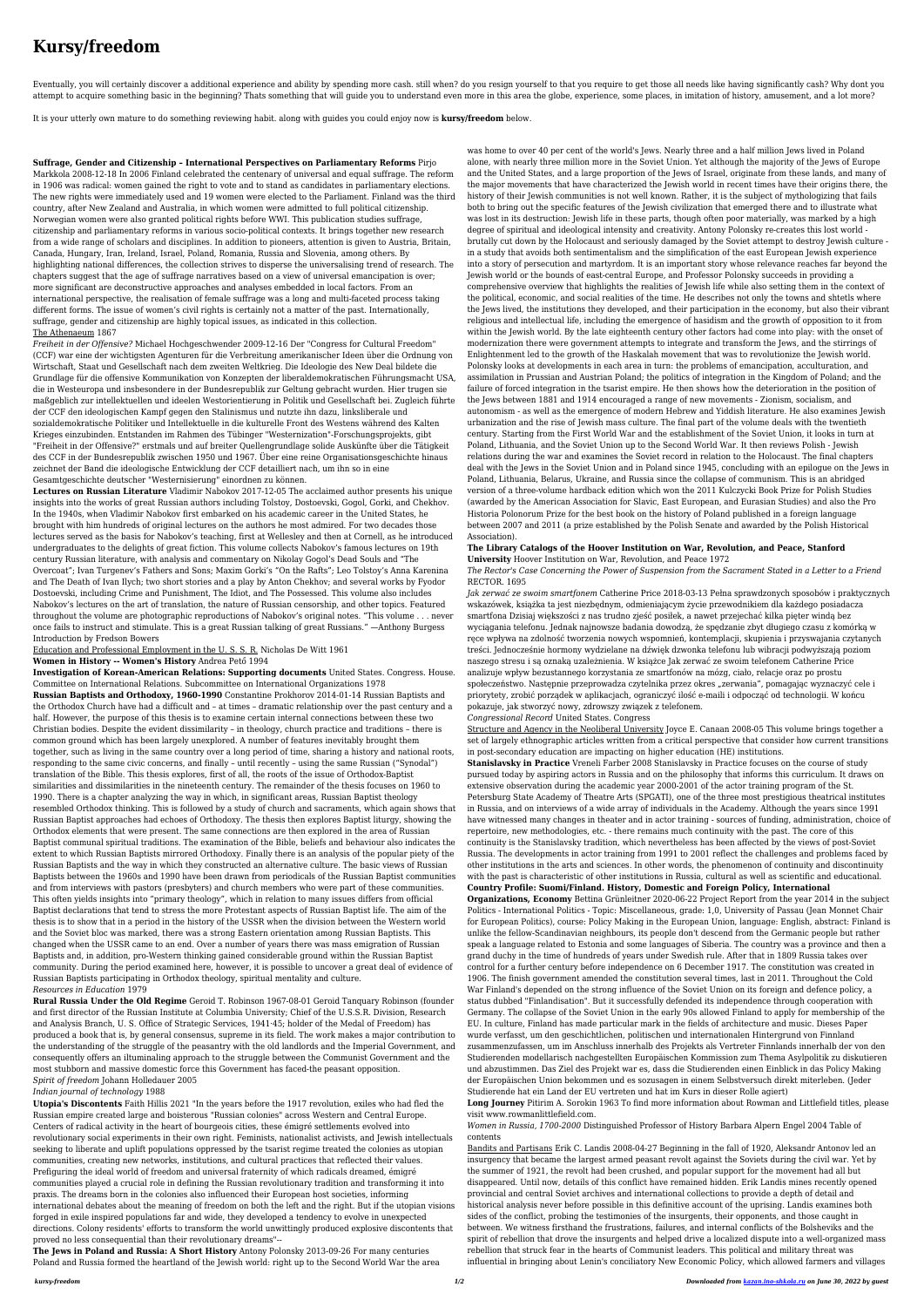# **Kursy/freedom**

Eventually, you will certainly discover a additional experience and ability by spending more cash. still when? do you resign yourself to that you require to get those all needs like having significantly cash? Why dont you attempt to acquire something basic in the beginning? Thats something that will guide you to understand even more in this area the globe, experience, some places, in imitation of history, amusement, and a lot more?

It is your utterly own mature to do something reviewing habit. along with guides you could enjoy now is **kursy/freedom** below.

## **Suffrage, Gender and Citizenship – International Perspectives on Parliamentary Reforms** Pirjo

Markkola 2008-12-18 In 2006 Finland celebrated the centenary of universal and equal suffrage. The reform in 1906 was radical: women gained the right to vote and to stand as candidates in parliamentary elections. The new rights were immediately used and 19 women were elected to the Parliament. Finland was the third country, after New Zealand and Australia, in which women were admitted to full political citizenship. Norwegian women were also granted political rights before WWI. This publication studies suffrage, citizenship and parliamentary reforms in various socio-political contexts. It brings together new research from a wide range of scholars and disciplines. In addition to pioneers, attention is given to Austria, Britain, Canada, Hungary, Iran, Ireland, Israel, Poland, Romania, Russia and Slovenia, among others. By highlighting national differences, the collection strives to disperse the universalising trend of research. The chapters suggest that the age of suffrage narratives based on a view of universal emancipation is over; more significant are deconstructive approaches and analyses embedded in local factors. From an international perspective, the realisation of female suffrage was a long and multi-faceted process taking different forms. The issue of women's civil rights is certainly not a matter of the past. Internationally, suffrage, gender and citizenship are highly topical issues, as indicated in this collection. The Athenaeum 1867

*Freiheit in der Offensive?* Michael Hochgeschwender 2009-12-16 Der "Congress for Cultural Freedom" (CCF) war eine der wichtigsten Agenturen für die Verbreitung amerikanischer Ideen über die Ordnung von Wirtschaft, Staat und Gesellschaft nach dem zweiten Weltkrieg. Die Ideologie des New Deal bildete die Grundlage für die offensive Kommunikation von Konzepten der liberaldemokratischen Führungsmacht USA, die in Westeuropa und insbesondere in der Bundesrepublik zur Geltung gebracht wurden. Hier trugen sie maßgeblich zur intellektuellen und ideelen Westorientierung in Politik und Gesellschaft bei. Zugleich führte der CCF den ideologischen Kampf gegen den Stalinismus und nutzte ihn dazu, linksliberale und sozialdemokratische Politiker und Intellektuelle in die kulturelle Front des Westens während des Kalten Krieges einzubinden. Entstanden im Rahmen des Tübinger "Westernization"-Forschungsprojekts, gibt "Freiheit in der Offensive?" erstmals und auf breiter Quellengrundlage solide Auskünfte über die Tätigkeit des CCF in der Bundesrepublik zwischen 1950 und 1967. Über eine reine Organisationsgeschichte hinaus zeichnet der Band die ideologische Entwicklung der CCF detailliert nach, um ihn so in eine Gesamtgeschichte deutscher "Westernisierung" einordnen zu können.

**Lectures on Russian Literature** Vladimir Nabokov 2017-12-05 The acclaimed author presents his unique insights into the works of great Russian authors including Tolstoy, Dostoevski, Gogol, Gorki, and Chekhov. In the 1940s, when Vladimir Nabokov first embarked on his academic career in the United States, he brought with him hundreds of original lectures on the authors he most admired. For two decades those lectures served as the basis for Nabokov's teaching, first at Wellesley and then at Cornell, as he introduced undergraduates to the delights of great fiction. This volume collects Nabokov's famous lectures on 19th century Russian literature, with analysis and commentary on Nikolay Gogol's Dead Souls and "The Overcoat"; Ivan Turgenev's Fathers and Sons; Maxim Gorki's "On the Rafts"; Leo Tolstoy's Anna Karenina and The Death of Ivan Ilych; two short stories and a play by Anton Chekhov; and several works by Fyodor Dostoevski, including Crime and Punishment, The Idiot, and The Possessed. This volume also includes Nabokov's lectures on the art of translation, the nature of Russian censorship, and other topics. Featured throughout the volume are photographic reproductions of Nabokov's original notes. "This volume . . . never once fails to instruct and stimulate. This is a great Russian talking of great Russians." —Anthony Burgess Introduction by Fredson Bowers

Education and Professional Employment in the U. S. S. R. Nicholas De Witt 1961

**Women in History -- Women's History** Andrea Pető 1994

**Investigation of Korean-American Relations: Supporting documents** United States. Congress. House. Committee on International Relations. Subcommittee on International Organizations 1978

**Russian Baptists and Orthodoxy, 1960-1990** Constantine Prokhorov 2014-01-14 Russian Baptists and

the Orthodox Church have had a difficult and – at times – dramatic relationship over the past century and a half. However, the purpose of this thesis is to examine certain internal connections between these two Christian bodies. Despite the evident dissimilarity – in theology, church practice and traditions – there is common ground which has been largely unexplored. A number of features inevitably brought them together, such as living in the same country over a long period of time, sharing a history and national roots, responding to the same civic concerns, and finally – until recently – using the same Russian ("Synodal") translation of the Bible. This thesis explores, first of all, the roots of the issue of Orthodox-Baptist similarities and dissimilarities in the nineteenth century. The remainder of the thesis focuses on 1960 to 1990. There is a chapter analyzing the way in which, in significant areas, Russian Baptist theology resembled Orthodox thinking. This is followed by a study of church and sacraments, which again shows that Russian Baptist approaches had echoes of Orthodoxy. The thesis then explores Baptist liturgy, showing the Orthodox elements that were present. The same connections are then explored in the area of Russian Baptist communal spiritual traditions. The examination of the Bible, beliefs and behaviour also indicates the extent to which Russian Baptists mirrored Orthodoxy. Finally there is an analysis of the popular piety of the Russian Baptists and the way in which they constructed an alternative culture. The basic views of Russian Baptists between the 1960s and 1990 have been drawn from periodicals of the Russian Baptist communities and from interviews with pastors (presbyters) and church members who were part of these communities. This often yields insights into "primary theology", which in relation to many issues differs from official Baptist declarations that tend to stress the more Protestant aspects of Russian Baptist life. The aim of the thesis is to show that in a period in the history of the USSR when the division between the Western world and the Soviet bloc was marked, there was a strong Eastern orientation among Russian Baptists. This changed when the USSR came to an end. Over a number of years there was mass emigration of Russian Baptists and, in addition, pro-Western thinking gained considerable ground within the Russian Baptist community. During the period examined here, however, it is possible to uncover a great deal of evidence of Russian Baptists participating in Orthodox theology, spiritual mentality and culture.

## *Resources in Education* 1979

**Rural Russia Under the Old Regime** Geroid T. Robinson 1967-08-01 Geroid Tanquary Robinson (founder and first director of the Russian Institute at Columbia University; Chief of the U.S.S.R. Division, Research and Analysis Branch, U. S. Office of Strategic Services, 1941·45; holder of the Medal of Freedom) has produced a book that is, by general consensus, supreme in its field. The work makes a major contribution to the understanding of the struggle of the peasantry with the old landlords and the Imperial Government, and consequently offers an iltuminaling approach to the struggle between the Communist Government and the most stubborn and massive domestic force this Government has faced-the peasant opposition.

## *Spirit of freedom* Johann Holledauer 2005

## *Indian journal of technology* 1988

**Utopia's Discontents** Faith Hillis 2021 "In the years before the 1917 revolution, exiles who had fled the Russian empire created large and boisterous "Russian colonies" across Western and Central Europe. Centers of radical activity in the heart of bourgeois cities, these émigré settlements evolved into revolutionary social experiments in their own right. Feminists, nationalist activists, and Jewish intellectuals seeking to liberate and uplift populations oppressed by the tsarist regime treated the colonies as utopian communities, creating new networks, institutions, and cultural practices that reflected their values. Prefiguring the ideal world of freedom and universal fraternity of which radicals dreamed, émigré communities played a crucial role in defining the Russian revolutionary tradition and transforming it into praxis. The dreams born in the colonies also influenced their European host societies, informing international debates about the meaning of freedom on both the left and the right. But if the utopian visions forged in exile inspired populations far and wide, they developed a tendency to evolve in unexpected directions. Colony residents' efforts to transform the world unwittingly produced explosive discontents that proved no less consequential than their revolutionary dreams"--

**The Jews in Poland and Russia: A Short History** Antony Polonsky 2013-09-26 For many centuries Poland and Russia formed the heartland of the Jewish world: right up to the Second World War the area was home to over 40 per cent of the world's Jews. Nearly three and a half million Jews lived in Poland alone, with nearly three million more in the Soviet Union. Yet although the majority of the Jews of Europe and the United States, and a large proportion of the Jews of Israel, originate from these lands, and many of the major movements that have characterized the Jewish world in recent times have their origins there, the history of their Jewish communities is not well known. Rather, it is the subject of mythologizing that fails both to bring out the specific features of the Jewish civilization that emerged there and to illustrate what was lost in its destruction: Jewish life in these parts, though often poor materially, was marked by a high degree of spiritual and ideological intensity and creativity. Antony Polonsky re-creates this lost world brutally cut down by the Holocaust and seriously damaged by the Soviet attempt to destroy Jewish culture in a study that avoids both sentimentalism and the simplification of the east European Jewish experience into a story of persecution and martyrdom. It is an important story whose relevance reaches far beyond the Jewish world or the bounds of east-central Europe, and Professor Polonsky succeeds in providing a comprehensive overview that highlights the realities of Jewish life while also setting them in the context of the political, economic, and social realities of the time. He describes not only the towns and shtetls where the Jews lived, the institutions they developed, and their participation in the economy, but also their vibrant religious and intellectual life, including the emergence of hasidism and the growth of opposition to it from within the Jewish world. By the late eighteenth century other factors had come into play: with the onset of modernization there were government attempts to integrate and transform the Jews, and the stirrings of Enlightenment led to the growth of the Haskalah movement that was to revolutionize the Jewish world. Polonsky looks at developments in each area in turn: the problems of emancipation, acculturation, and assimilation in Prussian and Austrian Poland; the politics of integration in the Kingdom of Poland; and the failure of forced integration in the tsarist empire. He then shows how the deterioration in the position of the Jews between 1881 and 1914 encouraged a range of new movements - Zionism, socialism, and autonomism - as well as the emergence of modern Hebrew and Yiddish literature. He also examines Jewish urbanization and the rise of Jewish mass culture. The final part of the volume deals with the twentieth century. Starting from the First World War and the establishment of the Soviet Union, it looks in turn at Poland, Lithuania, and the Soviet Union up to the Second World War. It then reviews Polish - Jewish relations during the war and examines the Soviet record in relation to the Holocaust. The final chapters deal with the Jews in the Soviet Union and in Poland since 1945, concluding with an epilogue on the Jews in Poland, Lithuania, Belarus, Ukraine, and Russia since the collapse of communism. This is an abridged version of a three-volume hardback edition which won the 2011 Kulczycki Book Prize for Polish Studies (awarded by the American Association for Slavic, East European, and Eurasian Studies) and also the Pro Historia Polonorum Prize for the best book on the history of Poland published in a foreign language between 2007 and 2011 (a prize established by the Polish Senate and awarded by the Polish Historical Association).

## **The Library Catalogs of the Hoover Institution on War, Revolution, and Peace, Stanford University** Hoover Institution on War, Revolution, and Peace 1972

## *The Rector's Case Concerning the Power of Suspension from the Sacrament Stated in a Letter to a Friend* RECTOR. 1695

*Jak zerwać ze swoim smartfonem* Catherine Price 2018-03-13 Pełna sprawdzonych sposobów i praktycznych wskazówek, książka ta jest niezbędnym, odmieniającym życie przewodnikiem dla każdego posiadacza smartfona Dzisiaj większości z nas trudno zjeść posiłek, a nawet przejechać kilka pięter windą bez wyciągania telefonu. Jednak najnowsze badania dowodzą, że spędzanie zbyt długiego czasu z komórką w ręce wpływa na zdolność tworzenia nowych wspomnień, kontemplacji, skupienia i przyswajania czytanych treści. Jednocześnie hormony wydzielane na dźwięk dzwonka telefonu lub wibracji podwyższają poziom naszego stresu i są oznaką uzależnienia. W książce Jak zerwać ze swoim telefonem Catherine Price analizuje wpływ bezustannego korzystania ze smartfonów na mózg, ciało, relacje oraz po prostu społeczeństwo. Następnie przeprowadza czytelnika przez okres "zerwania", pomagając wyznaczyć cele i priorytety, zrobić porządek w aplikacjach, ograniczyć ilość e-maili i odpocząć od technologii. W końcu pokazuje, jak stworzyć nowy, zdrowszy związek z telefonem.

### *Congressional Record* United States. Congress

Structure and Agency in the Neoliberal University Joyce E. Canaan 2008-05 This volume brings together a set of largely ethnographic articles written from a critical perspective that consider how current transitions in post-secondary education are impacting on higher education (HE) institutions.

**Stanislavsky in Practice** Vreneli Farber 2008 Stanislavsky in Practice focuses on the course of study pursued today by aspiring actors in Russia and on the philosophy that informs this curriculum. It draws on extensive observation during the academic year 2000-2001 of the actor training program of the St. Petersburg State Academy of Theatre Arts (SPGATI), one of the three most prestigious theatrical institutes in Russia, and on interviews of a wide array of individuals in the Academy. Although the years since 1991 have witnessed many changes in theater and in actor training - sources of funding, administration, choice of repertoire, new methodologies, etc. - there remains much continuity with the past. The core of this continuity is the Stanislavsky tradition, which nevertheless has been affected by the views of post-Soviet Russia. The developments in actor training from 1991 to 2001 reflect the challenges and problems faced by other institutions in the arts and sciences. In other words, the phenomenon of continuity and discontinuity with the past is characteristic of other institutions in Russia, cultural as well as scientific and educational.

## **Country Profile: Suomi/Finland. History, Domestic and Foreign Policy, International**

**Organizations, Economy** Bettina Grünleitner 2020-06-22 Project Report from the year 2014 in the subject Politics - International Politics - Topic: Miscellaneous, grade: 1,0, University of Passau (Jean Monnet Chair for European Politics), course: Policy Making in the European Union, language: English, abstract: Finland is unlike the fellow-Scandinavian neighbours, its people don't descend from the Germanic people but rather speak a language related to Estonia and some languages of Siberia. The country was a province and then a grand duchy in the time of hundreds of years under Swedish rule. After that in 1809 Russia takes over control for a further century before independence on 6 December 1917. The constitution was created in 1906. The finish government amended the constitution several times, last in 2011. Throughout the Cold War Finland's depended on the strong influence of the Soviet Union on its foreign and defence policy, a status dubbed "Finlandisation". But it successfully defended its independence through cooperation with Germany. The collapse of the Soviet Union in the early 90s allowed Finland to apply for membership of the EU. In culture, Finland has made particular mark in the fields of architecture and music. Dieses Paper wurde verfasst, um den geschichtlichen, politischen und internationalen Hintergrund von Finnland zusammenzufassen, um im Anschluss innerhalb des Projekts als Vertreter Finnlands innerhalb der von den Studierenden modellarisch nachgestellten Europäischen Kommission zum Thema Asylpolitik zu diskutieren und abzustimmen. Das Ziel des Projekt war es, dass die Studierenden einen Einblick in das Policy Making der Europäischen Union bekommen und es sozusagen in einem Selbstversuch direkt miterleben. (Jeder Studierende hat ein Land der EU vertreten und hat im Kurs in dieser Rolle agiert)

**Long Journey** Pitirim A. Sorokin 1963 To find more information about Rowman and Littlefield titles, please visit www.rowmanlittlefield.com.

*Women in Russia, 1700-2000* Distinguished Professor of History Barbara Alpern Engel 2004 Table of contents

Bandits and Partisans Erik C. Landis 2008-04-27 Beginning in the fall of 1920, Aleksandr Antonov led an insurgency that became the largest armed peasant revolt against the Soviets during the civil war. Yet by the summer of 1921, the revolt had been crushed, and popular support for the movement had all but disappeared. Until now, details of this conflict have remained hidden. Erik Landis mines recently opened provincial and central Soviet archives and international collections to provide a depth of detail and historical analysis never before possible in this definitive account of the uprising. Landis examines both sides of the conflict, probing the testimonies of the insurgents, their opponents, and those caught in between. We witness firsthand the frustrations, failures, and internal conflicts of the Bolsheviks and the spirit of rebellion that drove the insurgents and helped drive a localized dispute into a well-organized mass rebellion that struck fear in the hearts of Communist leaders. This political and military threat was influential in bringing about Lenin's conciliatory New Economic Policy, which allowed farmers and villages